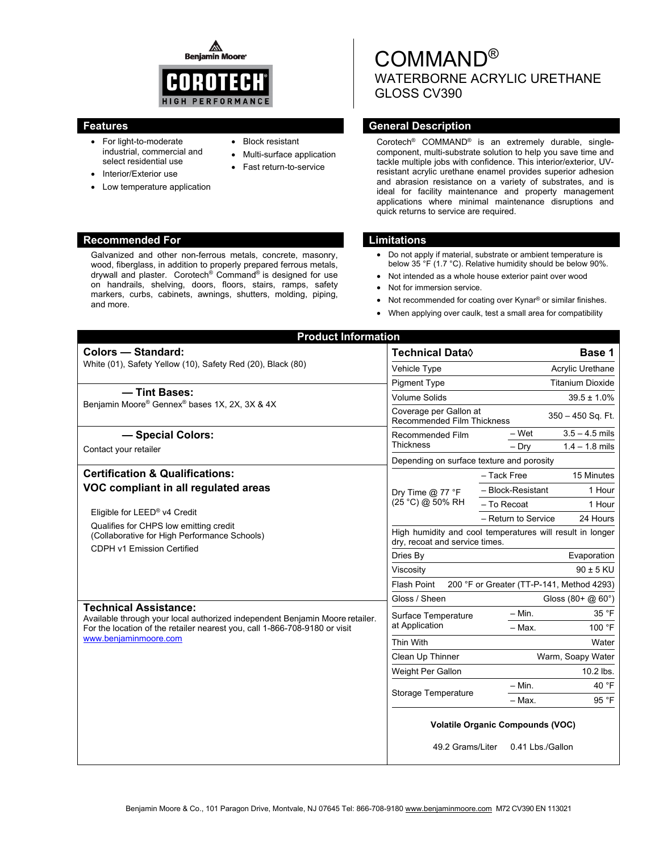◬ **Beniamin Moore** 



• Block resistant

 Multi-surface application Fast return-to-service

- For light-to-moderate industrial, commercial and select residential use
- Interior/Exterior use
- Low temperature application

# **Recommended For Limitations**

Galvanized and other non-ferrous metals, concrete, masonry, wood, fiberglass, in addition to properly prepared ferrous metals, drywall and plaster. Corotech® Command® is designed for use on handrails, shelving, doors, floors, stairs, ramps, safety markers, curbs, cabinets, awnings, shutters, molding, piping, and more.

# **Features General Description Contracts Contracts Contracts Contracts Contracts Contracts Contracts Contracts Contracts Contracts Contracts Contracts Contracts Contracts Contracts Contracts Contracts Contracts Contracts Co**

Corotech® COMMAND® is an extremely durable, singlecomponent, multi-substrate solution to help you save time and tackle multiple jobs with confidence. This interior/exterior, UVresistant acrylic urethane enamel provides superior adhesion and abrasion resistance on a variety of substrates, and is ideal for facility maintenance and property management applications where minimal maintenance disruptions and quick returns to service are required.

- Do not apply if material, substrate or ambient temperature is below 35 °F (1.7 °C). Relative humidity should be below 90%.
- Not intended as a whole house exterior paint over wood
- Not for immersion service.
- Not recommended for coating over Kynar<sup>®</sup> or similar finishes.
- When applying over caulk, test a small area for compatibility

| <b>Product Information</b>                                                                                                                                                                                                                 |                                                                                             |                                 |
|--------------------------------------------------------------------------------------------------------------------------------------------------------------------------------------------------------------------------------------------|---------------------------------------------------------------------------------------------|---------------------------------|
| <b>Colors - Standard:</b>                                                                                                                                                                                                                  | <b>Technical Data</b> ◊                                                                     | Base 1                          |
| White (01), Safety Yellow (10), Safety Red (20), Black (80)                                                                                                                                                                                | Vehicle Type                                                                                | Acrylic Urethane                |
|                                                                                                                                                                                                                                            | <b>Pigment Type</b>                                                                         | <b>Titanium Dioxide</b>         |
| - Tint Bases:<br>Benjamin Moore® Gennex® bases 1X, 2X, 3X & 4X                                                                                                                                                                             | <b>Volume Solids</b>                                                                        | $39.5 \pm 1.0\%$                |
|                                                                                                                                                                                                                                            | Coverage per Gallon at<br>350 - 450 Sq. Ft.<br><b>Recommended Film Thickness</b>            |                                 |
| - Special Colors:<br>Contact your retailer                                                                                                                                                                                                 | Recommended Film<br><b>Thickness</b>                                                        | $3.5 - 4.5$ mils<br>– Wet       |
|                                                                                                                                                                                                                                            |                                                                                             | $-$ Drv<br>$1.4 - 1.8$ mils     |
|                                                                                                                                                                                                                                            | Depending on surface texture and porosity                                                   |                                 |
| <b>Certification &amp; Qualifications:</b><br>VOC compliant in all regulated areas<br>Eligible for LEED® v4 Credit<br>Qualifies for CHPS low emitting credit<br>(Collaborative for High Performance Schools)<br>CDPH v1 Emission Certified | Dry Time $@$ 77 °F<br>(25 °C) @ 50% RH                                                      | - Tack Free<br>15 Minutes       |
|                                                                                                                                                                                                                                            |                                                                                             | 1 Hour<br>- Block-Resistant     |
|                                                                                                                                                                                                                                            |                                                                                             | - To Recoat<br>1 Hour           |
|                                                                                                                                                                                                                                            |                                                                                             | - Return to Service<br>24 Hours |
|                                                                                                                                                                                                                                            | High humidity and cool temperatures will result in longer<br>dry, recoat and service times. |                                 |
|                                                                                                                                                                                                                                            | Dries By                                                                                    | Evaporation                     |
|                                                                                                                                                                                                                                            | Viscosity                                                                                   | $90 \pm 5$ KU                   |
|                                                                                                                                                                                                                                            | 200 °F or Greater (TT-P-141, Method 4293)<br><b>Flash Point</b>                             |                                 |
| <b>Technical Assistance:</b>                                                                                                                                                                                                               | Gloss / Sheen                                                                               | Gloss $(80 + @ 60^{\circ})$     |
| Available through your local authorized independent Benjamin Moore retailer.<br>For the location of the retailer nearest you, call 1-866-708-9180 or visit<br>www.beniaminmoore.com                                                        | Surface Temperature<br>at Application                                                       | 35 °F<br>$- Min.$               |
|                                                                                                                                                                                                                                            |                                                                                             | 100 °F<br>- Max.                |
|                                                                                                                                                                                                                                            | Thin With                                                                                   | Water                           |
|                                                                                                                                                                                                                                            | Clean Up Thinner                                                                            | Warm, Soapy Water               |
|                                                                                                                                                                                                                                            | Weight Per Gallon                                                                           | 10.2 lbs.                       |
|                                                                                                                                                                                                                                            | <b>Storage Temperature</b>                                                                  | 40 °F<br>$- Min.$               |
|                                                                                                                                                                                                                                            |                                                                                             | 95 °F<br>- Max.                 |
|                                                                                                                                                                                                                                            | <b>Volatile Organic Compounds (VOC)</b>                                                     |                                 |
|                                                                                                                                                                                                                                            | 49.2 Grams/Liter                                                                            | 0.41 Lbs./Gallon                |